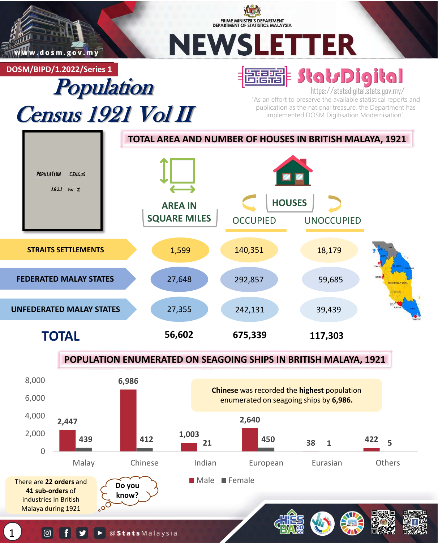

PRIME MINISTER'S DEPARTMENT **DEPARTMENT OF STATISTICS MALAYSIA** 

# NEWSLETTER

**DOSM/BIPD/1.2022/Series 1**

## Population Census 1921 Vol II

### 福郡 Stat/Digital

https://statsdigital.stats.gov.my/ "As an effort to preserve the available statistical reports and publication as the national treasure, the Department has implemented DOSM Digitisation Modernisation".



### **POPULATION ENUMERATED ON SEAGOING SHIPS IN BRITISH MALAYA, 1921**



1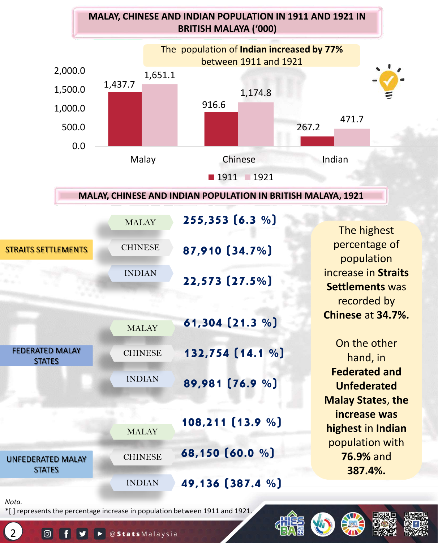



#### **MALAY, CHINESE AND INDIAN POPULATION IN BRITISH MALAYA, 1921**

|                                         | <b>MALAY</b>   | $255,353$ (6.3 %) |                                                              |
|-----------------------------------------|----------------|-------------------|--------------------------------------------------------------|
|                                         |                |                   | The highest                                                  |
| <b>STRAITS SETTLEMENTS</b>              | <b>CHINESE</b> | 87,910 [34.7%]    | percentage of<br>population                                  |
|                                         | <b>INDIAN</b>  | 22,573 (27.5%)    | increase in Straits<br><b>Settlements was</b><br>recorded by |
|                                         | <b>MALAY</b>   | 61,304 (21.3 %)   | Chinese at 34.7%.                                            |
| <b>FEDERATED MALAY</b><br><b>STATES</b> | <b>CHINESE</b> | 132,754 [14.1 %]  | On the other<br>hand, in                                     |
|                                         | <b>INDIAN</b>  | 89,981 [76.9 %]   | <b>Federated and</b><br><b>Unfederated</b>                   |
|                                         |                |                   | <b>Malay States, the</b>                                     |
| <b>UNFEDERATED MALAY</b>                | <b>MALAY</b>   | 108,211 [13.9 %]  | increase was<br>highest in Indian                            |
|                                         | <b>CHINESE</b> | 68,150 [60.0 %]   | population with<br><b>76.9% and</b>                          |
| <b>STATES</b>                           | <b>INDIAN</b>  | 49,136 [387.4 %]  | 387.4%.                                                      |
| Nota.                                   |                |                   |                                                              |

\*[ ] represents the percentage increase in population between 1911 and 1921.

@StatsMalaysia

 $\overline{2}$ 

 $\boxed{0}$